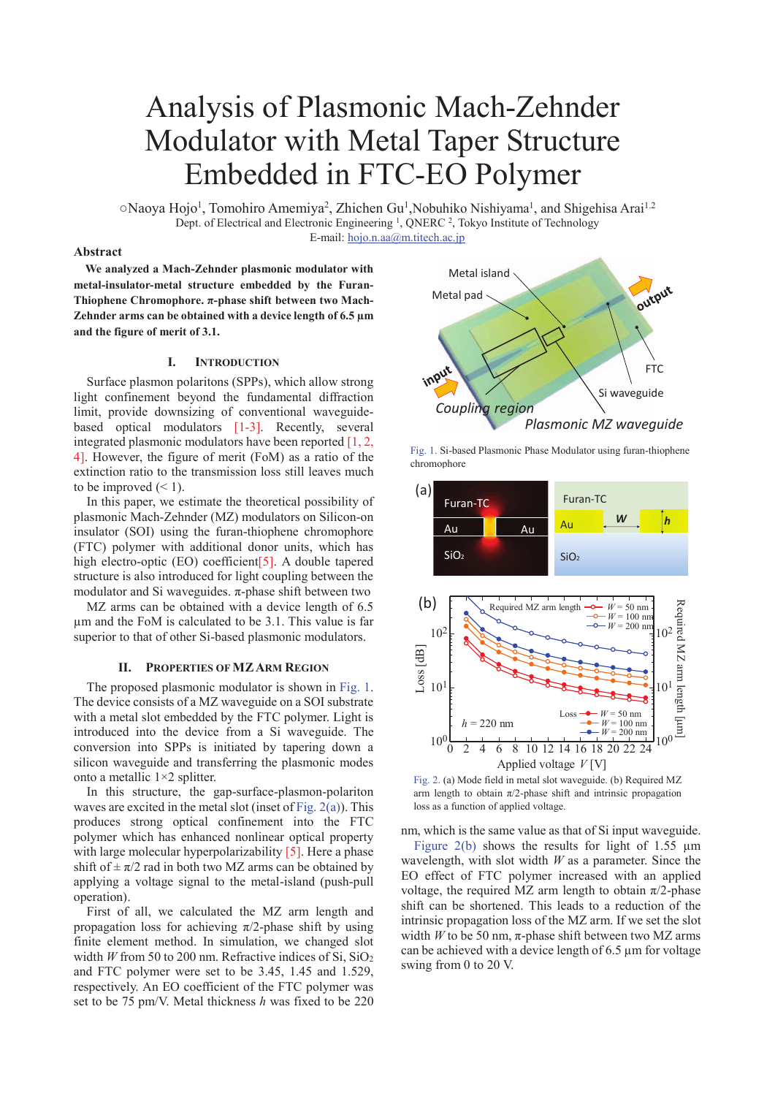# Analysis of Plasmonic Mach-Zehnder Modulator with Metal Taper Structure Embedded in FTC-EO Polymer

○Naoya Hojo<sup>1</sup>, Tomohiro Amemiya<sup>2</sup>, Zhichen Gu<sup>1</sup>, Nobuhiko Nishiyama<sup>1</sup>, and Shigehisa Arai<sup>1.2</sup> Dept. of Electrical and Electronic Engineering<sup>1</sup>, QNERC<sup>2</sup>, Tokyo Institute of Technology E-mail: hojo.n.aa@m.titech.ac.jp

## **Abstract**

**We analyzed a Mach-Zehnder plasmonic modulator with metal-insulator-metal structure embedded by the Furan-Thiophene Chromophore. π-phase shift between two Mach-Zehnder arms can be obtained with a device length of 6.5 μm and the figure of merit of 3.1.** 

## **I. INTRODUCTION**

Surface plasmon polaritons (SPPs), which allow strong light confinement beyond the fundamental diffraction limit, provide downsizing of conventional waveguidebased optical modulators [1-3]. Recently, several integrated plasmonic modulators have been reported [1, 2, 4]. However, the figure of merit (FoM) as a ratio of the extinction ratio to the transmission loss still leaves much to be improved  $(< 1)$ .

In this paper, we estimate the theoretical possibility of plasmonic Mach-Zehnder (MZ) modulators on Silicon-on insulator (SOI) using the furan-thiophene chromophore (FTC) polymer with additional donor units, which has high electro-optic (EO) coefficient [5]. A double tapered structure is also introduced for light coupling between the modulator and Si waveguides.  $\pi$ -phase shift between two

MZ arms can be obtained with a device length of 6.5 μm and the FoM is calculated to be 3.1. This value is far superior to that of other Si-based plasmonic modulators.

### **II. PROPERTIES OF MZARM REGION**

The proposed plasmonic modulator is shown in Fig. 1. The device consists of a MZ waveguide on a SOI substrate with a metal slot embedded by the FTC polymer. Light is introduced into the device from a Si waveguide. The conversion into SPPs is initiated by tapering down a silicon waveguide and transferring the plasmonic modes onto a metallic 1×2 splitter.

In this structure, the gap-surface-plasmon-polariton waves are excited in the metal slot (inset of Fig. 2(a)). This produces strong optical confinement into the FTC polymer which has enhanced nonlinear optical property with large molecular hyperpolarizability [5]. Here a phase shift of  $\pm \pi/2$  rad in both two MZ arms can be obtained by applying a voltage signal to the metal-island (push-pull operation).

First of all, we calculated the MZ arm length and propagation loss for achieving  $\pi/2$ -phase shift by using finite element method. In simulation, we changed slot width *W* from 50 to 200 nm. Refractive indices of Si,  $SiO<sub>2</sub>$ and FTC polymer were set to be 3.45, 1.45 and 1.529, respectively. An EO coefficient of the FTC polymer was set to be 75 pm/V. Metal thickness *h* was fixed to be 220



Fig. 1. Si-based Plasmonic Phase Modulator using furan-thiophene chromophore



Fig. 2. (a) Mode field in metal slot waveguide. (b) Required MZ arm length to obtain  $\pi/2$ -phase shift and intrinsic propagation loss as a function of applied voltage.

nm, which is the same value as that of Si input waveguide.

Figure 2(b) shows the results for light of 1.55  $\mu$ m wavelength, with slot width *W* as a parameter. Since the EO effect of FTC polymer increased with an applied voltage, the required MZ arm length to obtain  $\pi/2$ -phase shift can be shortened. This leads to a reduction of the intrinsic propagation loss of the MZ arm. If we set the slot width *W* to be 50 nm,  $\pi$ -phase shift between two MZ arms can be achieved with a device length of 6.5 μm for voltage swing from 0 to 20 V.